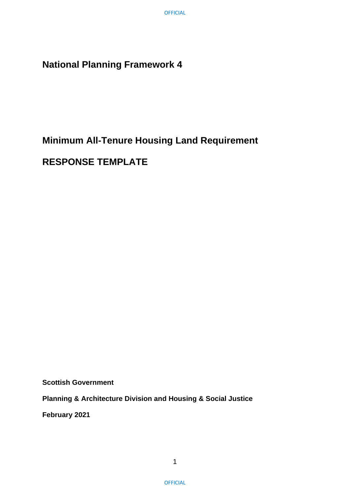## **National Planning Framework 4**

# **Minimum All-Tenure Housing Land Requirement**

## **RESPONSE TEMPLATE**

**Scottish Government**

**Planning & Architecture Division and Housing & Social Justice** 

**February 2021**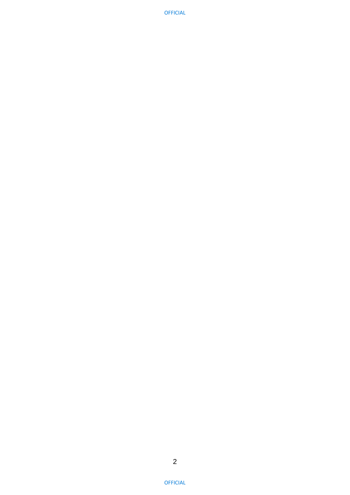#### OFFICIAL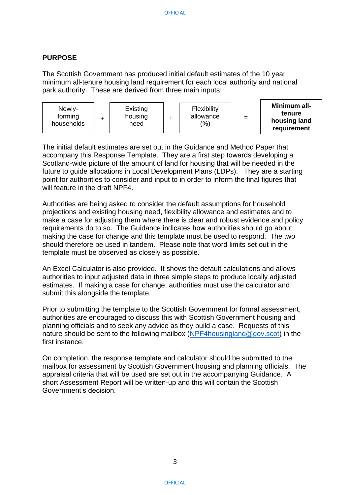## **PURPOSE**

The Scottish Government has produced initial default estimates of the 10 year minimum all-tenure housing land requirement for each local authority and national park authority. These are derived from three main inputs:

| Existing<br>Newly-<br>forming<br>housing<br>households<br>need |  | Flexibility<br>allowance<br>(%) | $=$ | Minimum all-<br>tenure<br>housing land<br>requirement |
|----------------------------------------------------------------|--|---------------------------------|-----|-------------------------------------------------------|
|----------------------------------------------------------------|--|---------------------------------|-----|-------------------------------------------------------|

The initial default estimates are set out in the Guidance and Method Paper that accompany this Response Template. They are a first step towards developing a Scotland-wide picture of the amount of land for housing that will be needed in the future to guide allocations in Local Development Plans (LDPs). They are a starting point for authorities to consider and input to in order to inform the final figures that will feature in the draft NPF4.

Authorities are being asked to consider the default assumptions for household projections and existing housing need, flexibility allowance and estimates and to make a case for adjusting them where there is clear and robust evidence and policy requirements do to so. The Guidance indicates how authorities should go about making the case for change and this template must be used to respond. The two should therefore be used in tandem. Please note that word limits set out in the template must be observed as closely as possible.

An Excel Calculator is also provided. It shows the default calculations and allows authorities to input adjusted data in three simple steps to produce locally adjusted estimates. If making a case for change, authorities must use the calculator and submit this alongside the template.

Prior to submitting the template to the Scottish Government for formal assessment, authorities are encouraged to discuss this with Scottish Government housing and planning officials and to seek any advice as they build a case. Requests of this nature should be sent to the following mailbox [\(NPF4housingland@gov.scot\)](mailto:NPF4housingland@gov.scot) in the first instance.

On completion, the response template and calculator should be submitted to the mailbox for assessment by Scottish Government housing and planning officials. The appraisal criteria that will be used are set out in the accompanying Guidance. A short Assessment Report will be written-up and this will contain the Scottish Government's decision.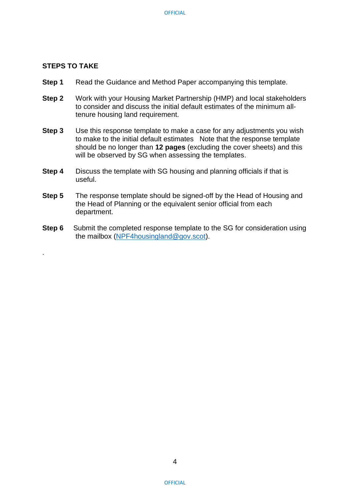#### **STEPS TO TAKE**

.

- **Step 1** Read the Guidance and Method Paper accompanying this template.
- **Step 2** Work with your Housing Market Partnership (HMP) and local stakeholders to consider and discuss the initial default estimates of the minimum alltenure housing land requirement.
- **Step 3** Use this response template to make a case for any adjustments you wish to make to the initial default estimates Note that the response template should be no longer than **12 pages** (excluding the cover sheets) and this will be observed by SG when assessing the templates.
- **Step 4** Discuss the template with SG housing and planning officials if that is useful.
- **Step 5** The response template should be signed-off by the Head of Housing and the Head of Planning or the equivalent senior official from each department.
- **Step 6** Submit the completed response template to the SG for consideration using the mailbox [\(NPF4housingland@gov.scot\)](mailto:NPF4housingland@gov.scot).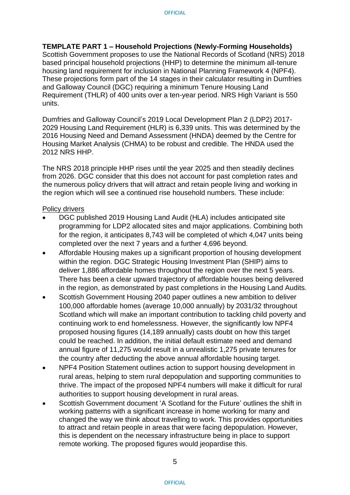#### **TEMPLATE PART 1 – Household Projections (Newly-Forming Households)**

Scottish Government proposes to use the National Records of Scotland (NRS) 2018 based principal household projections (HHP) to determine the minimum all-tenure housing land requirement for inclusion in National Planning Framework 4 (NPF4). These projections form part of the 14 stages in their calculator resulting in Dumfries and Galloway Council (DGC) requiring a minimum Tenure Housing Land Requirement (THLR) of 400 units over a ten-year period. NRS High Variant is 550 units.

Dumfries and Galloway Council's 2019 Local Development Plan 2 (LDP2) 2017- 2029 Housing Land Requirement (HLR) is 6,339 units. This was determined by the 2016 Housing Need and Demand Assessment (HNDA) deemed by the Centre for Housing Market Analysis (CHMA) to be robust and credible. The HNDA used the 2012 NRS HHP.

The NRS 2018 principle HHP rises until the year 2025 and then steadily declines from 2026. DGC consider that this does not account for past completion rates and the numerous policy drivers that will attract and retain people living and working in the region which will see a continued rise household numbers. These include:

#### Policy drivers

- DGC published 2019 Housing Land Audit (HLA) includes anticipated site programming for LDP2 allocated sites and major applications. Combining both for the region, it anticipates 8,743 will be completed of which 4,047 units being completed over the next 7 years and a further 4,696 beyond.
- Affordable Housing makes up a significant proportion of housing development within the region. DGC Strategic Housing Investment Plan (SHIP) aims to deliver 1,886 affordable homes throughout the region over the next 5 years. There has been a clear upward trajectory of affordable houses being delivered in the region, as demonstrated by past completions in the Housing Land Audits.
- Scottish Government Housing 2040 paper outlines a new ambition to deliver 100,000 affordable homes (average 10,000 annually) by 2031/32 throughout Scotland which will make an important contribution to tackling child poverty and continuing work to end homelessness. However, the significantly low NPF4 proposed housing figures (14,189 annually) casts doubt on how this target could be reached. In addition, the initial default estimate need and demand annual figure of 11,275 would result in a unrealistic 1,275 private tenures for the country after deducting the above annual affordable housing target.
- NPF4 Position Statement outlines action to support housing development in rural areas, helping to stem rural depopulation and supporting communities to thrive. The impact of the proposed NPF4 numbers will make it difficult for rural authorities to support housing development in rural areas.
- Scottish Government document 'A Scotland for the Future' outlines the shift in working patterns with a significant increase in home working for many and changed the way we think about travelling to work. This provides opportunities to attract and retain people in areas that were facing depopulation. However, this is dependent on the necessary infrastructure being in place to support remote working. The proposed figures would jeopardise this.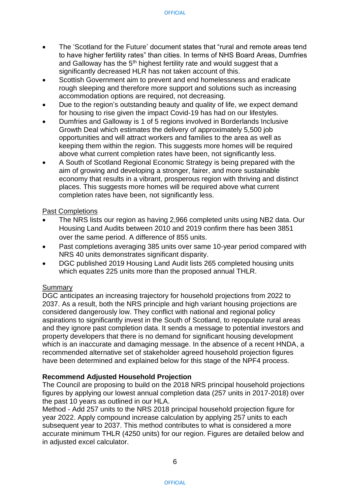- The 'Scotland for the Future' document states that "rural and remote areas tend to have higher fertility rates" than cities. In terms of NHS Board Areas, Dumfries and Galloway has the 5<sup>th</sup> highest fertility rate and would suggest that a significantly decreased HLR has not taken account of this.
- Scottish Government aim to prevent and end homelessness and eradicate rough sleeping and therefore more support and solutions such as increasing accommodation options are required, not decreasing.
- Due to the region's outstanding beauty and quality of life, we expect demand for housing to rise given the impact Covid-19 has had on our lifestyles.
- Dumfries and Galloway is 1 of 5 regions involved in Borderlands Inclusive Growth Deal which estimates the delivery of approximately 5,500 job opportunities and will attract workers and families to the area as well as keeping them within the region. This suggests more homes will be required above what current completion rates have been, not significantly less.
- A South of Scotland Regional Economic Strategy is being prepared with the aim of growing and developing a stronger, fairer, and more sustainable economy that results in a vibrant, prosperous region with thriving and distinct places. This suggests more homes will be required above what current completion rates have been, not significantly less.

### Past Completions

- The NRS lists our region as having 2,966 completed units using NB2 data. Our Housing Land Audits between 2010 and 2019 confirm there has been 3851 over the same period. A difference of 855 units.
- Past completions averaging 385 units over same 10-year period compared with NRS 40 units demonstrates significant disparity.
- DGC published 2019 Housing Land Audit lists 265 completed housing units which equates 225 units more than the proposed annual THLR.

### Summary

DGC anticipates an increasing trajectory for household projections from 2022 to 2037. As a result, both the NRS principle and high variant housing projections are considered dangerously low. They conflict with national and regional policy aspirations to significantly invest in the South of Scotland, to repopulate rural areas and they ignore past completion data. It sends a message to potential investors and property developers that there is no demand for significant housing development which is an inaccurate and damaging message. In the absence of a recent HNDA, a recommended alternative set of stakeholder agreed household projection figures have been determined and explained below for this stage of the NPF4 process.

## **Recommend Adjusted Household Projection**

The Council are proposing to build on the 2018 NRS principal household projections figures by applying our lowest annual completion data (257 units in 2017-2018) over the past 10 years as outlined in our HLA.

Method - Add 257 units to the NRS 2018 principal household projection figure for year 2022. Apply compound increase calculation by applying 257 units to each subsequent year to 2037. This method contributes to what is considered a more accurate minimum THLR (4250 units) for our region. Figures are detailed below and in adjusted excel calculator.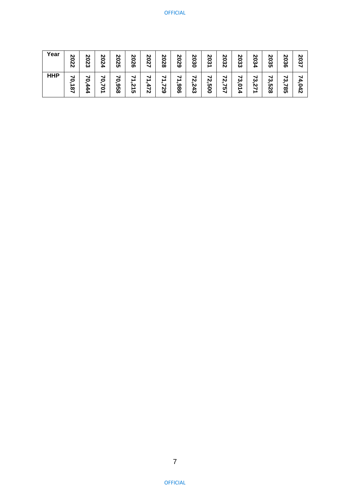| Year | 2022                                     | 2023                           | 20<br>N<br>4          | 2025          | 2026                              | N<br>$\tilde{8}$<br>$\blacktriangleright$                   | 2028                                  | 2029               | 2030                                              | 203                                | 2032                         | 2033                             | N<br>င္လ<br>4                                     | 2035                                          | 2036                             | 203<br>$\sim$         |
|------|------------------------------------------|--------------------------------|-----------------------|---------------|-----------------------------------|-------------------------------------------------------------|---------------------------------------|--------------------|---------------------------------------------------|------------------------------------|------------------------------|----------------------------------|---------------------------------------------------|-----------------------------------------------|----------------------------------|-----------------------|
| HHP  | 5<br>$\mathbf{v}$<br>∸<br>$\overline{2}$ | ∼<br>$\bullet$<br>Ĺ,<br>4<br>4 | 5<br>$\sim$<br>↘<br>0 | 5<br>328<br>8 | ↘<br>∸<br>$\cdot$<br>N<br>∸<br>ပာ | $\blacktriangleright$<br>∸<br>$\blacksquare$<br>4<br>∼<br>N | ↘<br>~<br>$\blacktriangleright$<br>82 | ∼<br>$\sim$<br>986 | ∼<br>N<br>$\overline{\phantom{0}}$<br>N<br>4<br>ယ | ∼<br>N<br>$\mathbf{v}$<br>ູ່<br>00 | ∼<br>N<br>÷<br><u>კ</u><br>↘ | ∼<br>ယ<br>$\cdot$<br>Ō<br>→<br>4 | ∼<br>ယ<br>$\overline{\phantom{0}}$<br>N<br>∼<br>∸ | ∼<br>ယ<br>ັບ $\overline{a}$<br>$\overline{8}$ | $\blacktriangleleft$<br>ω<br>582 | ∼<br>4<br>o<br>4<br>N |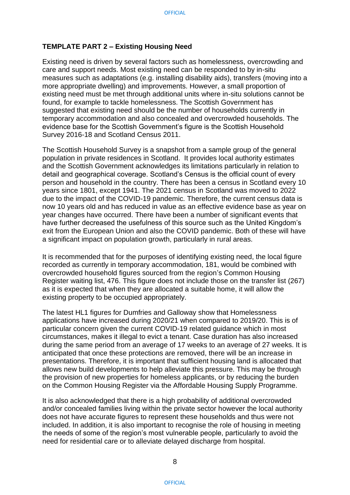### **TEMPLATE PART 2 – Existing Housing Need**

Existing need is driven by several factors such as homelessness, overcrowding and care and support needs. Most existing need can be responded to by in-situ measures such as adaptations (e.g. installing disability aids), transfers (moving into a more appropriate dwelling) and improvements. However, a small proportion of existing need must be met through additional units where in-situ solutions cannot be found, for example to tackle homelessness. The Scottish Government has suggested that existing need should be the number of households currently in temporary accommodation and also concealed and overcrowded households. The evidence base for the Scottish Government's figure is the Scottish Household Survey 2016-18 and Scotland Census 2011.

The Scottish Household Survey is a snapshot from a sample group of the general population in private residences in Scotland. It provides local authority estimates and the Scottish Government acknowledges its limitations particularly in relation to detail and geographical coverage. Scotland's Census is the official count of every person and household in the country. There has been a census in Scotland every 10 years since 1801, except 1941. The 2021 census in Scotland was moved to 2022 due to the impact of the COVID-19 pandemic. Therefore, the current census data is now 10 years old and has reduced in value as an effective evidence base as year on year changes have occurred. There have been a number of significant events that have further decreased the usefulness of this source such as the United Kingdom's exit from the European Union and also the COVID pandemic. Both of these will have a significant impact on population growth, particularly in rural areas.

It is recommended that for the purposes of identifying existing need, the local figure recorded as currently in temporary accommodation, 181, would be combined with overcrowded household figures sourced from the region's Common Housing Register waiting list, 476. This figure does not include those on the transfer list (267) as it is expected that when they are allocated a suitable home, it will allow the existing property to be occupied appropriately.

The latest HL1 figures for Dumfries and Galloway show that Homelessness applications have increased during 2020/21 when compared to 2019/20. This is of particular concern given the current COVID-19 related guidance which in most circumstances, makes it illegal to evict a tenant. Case duration has also increased during the same period from an average of 17 weeks to an average of 27 weeks. It is anticipated that once these protections are removed, there will be an increase in presentations. Therefore, it is important that sufficient housing land is allocated that allows new build developments to help alleviate this pressure. This may be through the provision of new properties for homeless applicants, or by reducing the burden on the Common Housing Register via the Affordable Housing Supply Programme.

It is also acknowledged that there is a high probability of additional overcrowded and/or concealed families living within the private sector however the local authority does not have accurate figures to represent these households and thus were not included. In addition, it is also important to recognise the role of housing in meeting the needs of some of the region's most vulnerable people, particularly to avoid the need for residential care or to alleviate delayed discharge from hospital.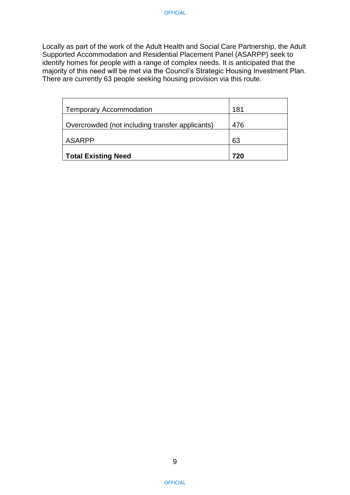Locally as part of the work of the Adult Health and Social Care Partnership, the Adult Supported Accommodation and Residential Placement Panel (ASARPP) seek to identify homes for people with a range of complex needs. It is anticipated that the majority of this need will be met via the Council's Strategic Housing Investment Plan. There are currently 63 people seeking housing provision via this route.

| <b>Temporary Accommodation</b>                  | 181 |
|-------------------------------------------------|-----|
| Overcrowded (not including transfer applicants) | 476 |
| <b>ASARPP</b>                                   | 63  |
| Total Existing Need                             | 720 |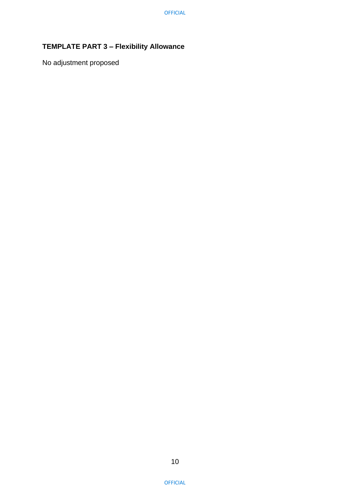## **TEMPLATE PART 3 – Flexibility Allowance**

No adjustment proposed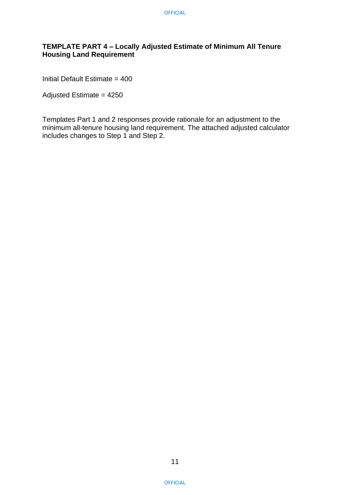## **TEMPLATE PART 4 – Locally Adjusted Estimate of Minimum All Tenure Housing Land Requirement**

Initial Default Estimate = 400

Adjusted Estimate = 4250

Templates Part 1 and 2 responses provide rationale for an adjustment to the minimum all-tenure housing land requirement. The attached adjusted calculator includes changes to Step 1 and Step 2.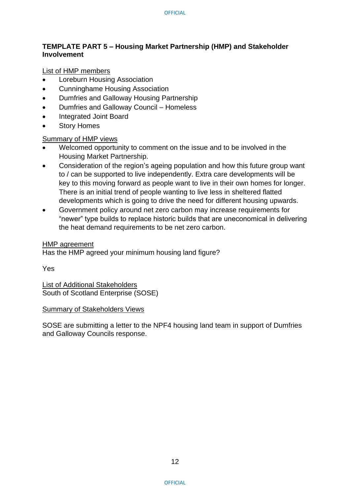## **TEMPLATE PART 5 – Housing Market Partnership (HMP) and Stakeholder Involvement**

List of HMP members

- Loreburn Housing Association
- Cunninghame Housing Association
- Dumfries and Galloway Housing Partnership
- Dumfries and Galloway Council Homeless
- Integrated Joint Board
- **Story Homes**

## Summary of HMP views

- Welcomed opportunity to comment on the issue and to be involved in the Housing Market Partnership.
- Consideration of the region's ageing population and how this future group want to / can be supported to live independently. Extra care developments will be key to this moving forward as people want to live in their own homes for longer. There is an initial trend of people wanting to live less in sheltered flatted developments which is going to drive the need for different housing upwards.
- Government policy around net zero carbon may increase requirements for "newer" type builds to replace historic builds that are uneconomical in delivering the heat demand requirements to be net zero carbon.

### HMP agreement

Has the HMP agreed your minimum housing land figure?

Yes

List of Additional Stakeholders South of Scotland Enterprise (SOSE)

Summary of Stakeholders Views

SOSE are submitting a letter to the NPF4 housing land team in support of Dumfries and Galloway Councils response.